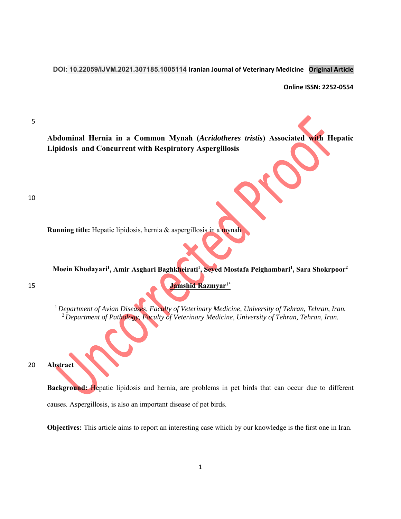**DOI: 10.22059/IJVM.2021.307185.1005114 Iranian Journal of Veterinary Medicine Original Article** 

**Online ISSN: 2252‐0554**

5

**Abdominal Hernia in a Common Mynah (***Acridotheres tristis***) Associated with Hepatic Lipidosis and Concurrent with Respiratory Aspergillosis** 

10

**Running title:** Hepatic lipidosis, hernia & aspergillosis in a mynah

**Moein Khodayari1 , Amir Asghari Baghkheirati1 , Seyed Mostafa Peighambari1 , Sara Shokrpoor2**

**Jamshid Razmyar1\*** 15

<sup>1</sup> Department of Avian Diseases, Faculty of Veterinary Medicine, University of Tehran, Tehran, Iran. <sup>2</sup>*Department of Pathology, Faculty of Veterinary Medicine, University of Tehran, Tehran, Iran.* 

20 **Abstract** 

**Background:** Hepatic lipidosis and hernia, are problems in pet birds that can occur due to different causes. Aspergillosis, is also an important disease of pet birds.

**Objectives:** This article aims to report an interesting case which by our knowledge is the first one in Iran.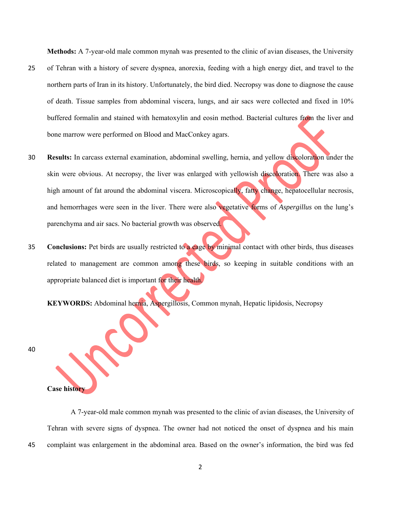**Methods:** A 7-year-old male common mynah was presented to the clinic of avian diseases, the University

- 25 of Tehran with a history of severe dyspnea, anorexia, feeding with a high energy diet, and travel to the northern parts of Iran in its history. Unfortunately, the bird died. Necropsy was done to diagnose the cause of death. Tissue samples from abdominal viscera, lungs, and air sacs were collected and fixed in 10% buffered formalin and stained with hematoxylin and eosin method. Bacterial cultures from the liver and bone marrow were performed on Blood and MacConkey agars.
- 30 **Results:** In carcass external examination, abdominal swelling, hernia, and yellow discoloration under the skin were obvious. At necropsy, the liver was enlarged with yellowish discoloration. There was also a high amount of fat around the abdominal viscera. Microscopically, fatty change, hepatocellular necrosis, and hemorrhages were seen in the liver. There were also vegetative forms of *Aspergillus* on the lung's parenchyma and air sacs. No bacterial growth was observed.
- 35 **Conclusions:** Pet birds are usually restricted to a cage by minimal contact with other birds, thus diseases related to management are common among these birds, so keeping in suitable conditions with an appropriate balanced diet is important for their health.

**KEYWORDS:** Abdominal hernia, Aspergillosis, Common mynah, Hepatic lipidosis, Necropsy

40

**Case history** 

A 7-year-old male common mynah was presented to the clinic of avian diseases, the University of Tehran with severe signs of dyspnea. The owner had not noticed the onset of dyspnea and his main 45 complaint was enlargement in the abdominal area. Based on the owner's information, the bird was fed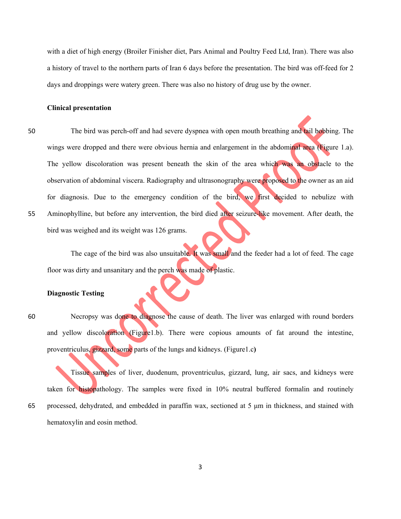with a diet of high energy (Broiler Finisher diet, Pars Animal and Poultry Feed Ltd, Iran). There was also a history of travel to the northern parts of Iran 6 days before the presentation. The bird was off-feed for 2 days and droppings were watery green. There was also no history of drug use by the owner.

## **Clinical presentation**

50 The bird was perch-off and had severe dyspnea with open mouth breathing and tail bobbing. The wings were dropped and there were obvious hernia and enlargement in the abdominal area (Figure 1.a). The yellow discoloration was present beneath the skin of the area which was an obstacle to the observation of abdominal viscera. Radiography and ultrasonography were proposed to the owner as an aid for diagnosis. Due to the emergency condition of the bird, we first decided to nebulize with 55 Aminophylline, but before any intervention, the bird died after seizure-like movement. After death, the bird was weighed and its weight was 126 grams.

The cage of the bird was also unsuitable. It was small and the feeder had a lot of feed. The cage floor was dirty and unsanitary and the perch was made of plastic.

## **Diagnostic Testing**

60 Necropsy was done to diagnose the cause of death. The liver was enlarged with round borders and yellow discoloration (Figure1.b). There were copious amounts of fat around the intestine, proventriculus, gizzard, some parts of the lungs and kidneys. (Figure1.c**)** 

Tissue samples of liver, duodenum, proventriculus, gizzard, lung, air sacs, and kidneys were taken for histopathology. The samples were fixed in 10% neutral buffered formalin and routinely 65 processed, dehydrated, and embedded in paraffin wax, sectioned at 5 μm in thickness, and stained with hematoxylin and eosin method.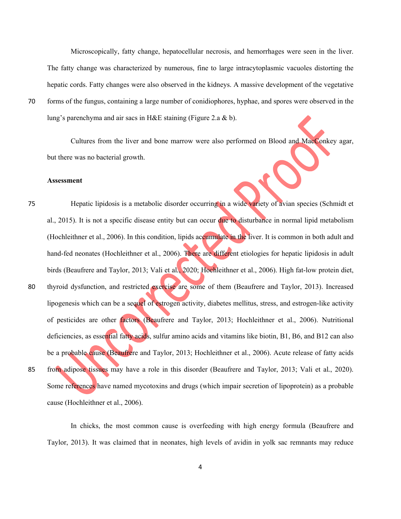Microscopically, fatty change, hepatocellular necrosis, and hemorrhages were seen in the liver. The fatty change was characterized by numerous, fine to large intracytoplasmic vacuoles distorting the hepatic cords. Fatty changes were also observed in the kidneys. A massive development of the vegetative 70 forms of the fungus, containing a large number of conidiophores, hyphae, and spores were observed in the lung's parenchyma and air sacs in H&E staining (Figure 2.a & b).

Cultures from the liver and bone marrow were also performed on Blood and MacConkey agar, but there was no bacterial growth.

#### **Assessment**

75 Hepatic lipidosis is a metabolic disorder occurring in a wide variety of avian species (Schmidt et al., 2015). It is not a specific disease entity but can occur due to disturbance in normal lipid metabolism (Hochleithner et al., 2006). In this condition, lipids accumulate in the liver. It is common in both adult and hand-fed neonates (Hochleithner et al., 2006). There are different etiologies for hepatic lipidosis in adult birds (Beaufrere and Taylor, 2013; Vali et al*.*, 2020; Hochleithner et al., 2006). High fat-low protein diet, 80 thyroid dysfunction, and restricted exercise are some of them (Beaufrere and Taylor, 2013). Increased lipogenesis which can be a sequel of estrogen activity, diabetes mellitus, stress, and estrogen-like activity of pesticides are other factors (Beaufrere and Taylor, 2013; Hochleithner et al., 2006). Nutritional deficiencies, as essential fatty acids, sulfur amino acids and vitamins like biotin, B1, B6, and B12 can also be a probable cause (Beaufrere and Taylor, 2013; Hochleithner et al., 2006). Acute release of fatty acids 85 from adipose tissues may have a role in this disorder (Beaufrere and Taylor, 2013; Vali et al*.*, 2020). Some references have named mycotoxins and drugs (which impair secretion of lipoprotein) as a probable cause (Hochleithner et al., 2006).

In chicks, the most common cause is overfeeding with high energy formula (Beaufrere and Taylor, 2013). It was claimed that in neonates, high levels of avidin in yolk sac remnants may reduce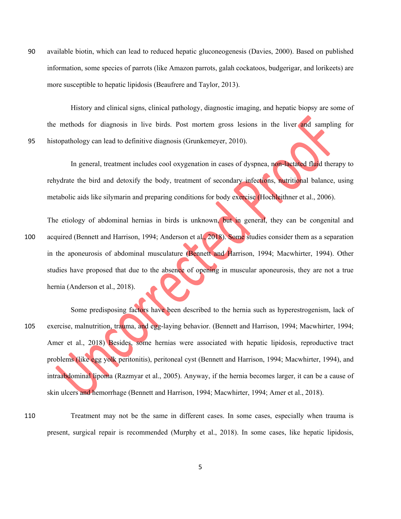90 available biotin, which can lead to reduced hepatic gluconeogenesis (Davies, 2000). Based on published information, some species of parrots (like Amazon parrots, galah cockatoos, budgerigar, and lorikeets) are more susceptible to hepatic lipidosis (Beaufrere and Taylor, 2013).

History and clinical signs, clinical pathology, diagnostic imaging, and hepatic biopsy are some of the methods for diagnosis in live birds. Post mortem gross lesions in the liver and sampling for 95 histopathology can lead to definitive diagnosis (Grunkemeyer, 2010).

In general, treatment includes cool oxygenation in cases of dyspnea, non-lactated fluid therapy to rehydrate the bird and detoxify the body, treatment of secondary infections, nutritional balance, using metabolic aids like silymarin and preparing conditions for body exercise (Hochleithner et al., 2006).

The etiology of abdominal hernias in birds is unknown, but in general, they can be congenital and 100 acquired (Bennett and Harrison, 1994; Anderson et al*.*, 2018). Some studies consider them as a separation in the aponeurosis of abdominal musculature (Bennett and Harrison, 1994; Macwhirter, 1994). Other studies have proposed that due to the absence of opening in muscular aponeurosis, they are not a true hernia (Anderson et al., 2018).

Some predisposing factors have been described to the hernia such as hyperestrogenism, lack of 105 exercise, malnutrition, trauma, and egg-laying behavior. (Bennett and Harrison, 1994; Macwhirter, 1994; Amer et al., 2018) Besides, some hernias were associated with hepatic lipidosis, reproductive tract problems (like egg yolk peritonitis), peritoneal cyst (Bennett and Harrison, 1994; Macwhirter, 1994), and intraabdominal lipoma (Razmyar et al., 2005). Anyway, if the hernia becomes larger, it can be a cause of skin ulcers and hemorrhage (Bennett and Harrison, 1994; Macwhirter, 1994; Amer et al., 2018).

110 Treatment may not be the same in different cases. In some cases, especially when trauma is present, surgical repair is recommended (Murphy et al., 2018). In some cases, like hepatic lipidosis,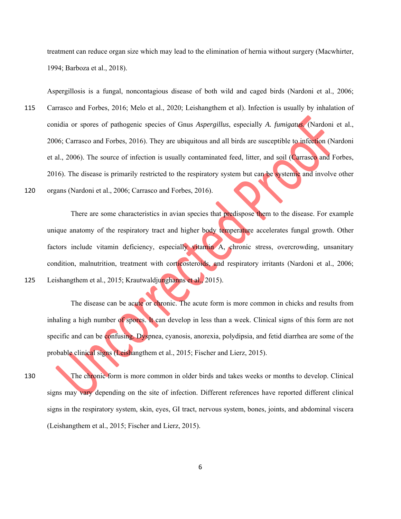treatment can reduce organ size which may lead to the elimination of hernia without surgery (Macwhirter, 1994; Barboza et al., 2018).

Aspergillosis is a fungal, noncontagious disease of both wild and caged birds (Nardoni et al., 2006;

115 Carrasco and Forbes, 2016; Melo et al., 2020; Leishangthem et al). Infection is usually by inhalation of conidia or spores of pathogenic species of Gnus *Aspergillus*, especially *A. fumigatus*. (Nardoni et al., 2006; Carrasco and Forbes, 2016). They are ubiquitous and all birds are susceptible to infection (Nardoni et al., 2006). The source of infection is usually contaminated feed, litter, and soil (Carrasco and Forbes, 2016). The disease is primarily restricted to the respiratory system but can be systemic and involve other

120 organs (Nardoni et al., 2006; Carrasco and Forbes, 2016).

There are some characteristics in avian species that predispose them to the disease. For example unique anatomy of the respiratory tract and higher body temperature accelerates fungal growth. Other factors include vitamin deficiency, especially vitamin A, chronic stress, overcrowding, unsanitary condition, malnutrition, treatment with corticosteroids, and respiratory irritants (Nardoni et al., 2006; 125 Leishangthem et al., 2015; Krautwaldjunghanns et al., 2015).

The disease can be acute or chronic. The acute form is more common in chicks and results from inhaling a high number of spores. It can develop in less than a week. Clinical signs of this form are not specific and can be confusing. Dyspnea, cyanosis, anorexia, polydipsia, and fetid diarrhea are some of the probable clinical signs (Leishangthem et al., 2015; Fischer and Lierz, 2015).

130 The chronic form is more common in older birds and takes weeks or months to develop. Clinical signs may vary depending on the site of infection. Different references have reported different clinical signs in the respiratory system, skin, eyes, GI tract, nervous system, bones, joints, and abdominal viscera (Leishangthem et al., 2015; Fischer and Lierz, 2015).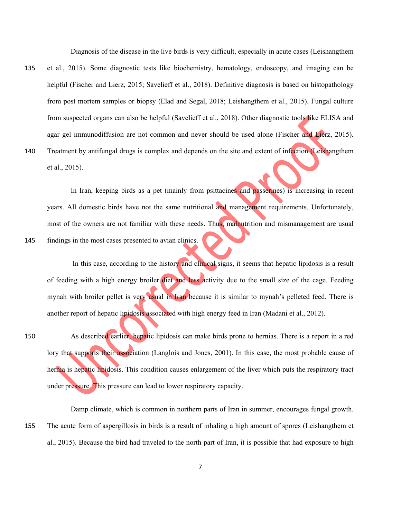Diagnosis of the disease in the live birds is very difficult, especially in acute cases (Leishangthem

- 135 et al., 2015). Some diagnostic tests like biochemistry, hematology, endoscopy, and imaging can be helpful (Fischer and Lierz, 2015; Savelieff et al., 2018). Definitive diagnosis is based on histopathology from post mortem samples or biopsy (Elad and Segal, 2018; Leishangthem et al., 2015). Fungal culture from suspected organs can also be helpful (Savelieff et al., 2018). Other diagnostic tools like ELISA and agar gel immunodiffusion are not common and never should be used alone (Fischer and Lierz, 2015).
- 140 Treatment by antifungal drugs is complex and depends on the site and extent of infection (Leishangthem et al., 2015).

In Iran, keeping birds as a pet (mainly from psittacines and passerines) is increasing in recent years. All domestic birds have not the same nutritional and management requirements. Unfortunately, most of the owners are not familiar with these needs. Thus, malnutrition and mismanagement are usual 145 findings in the most cases presented to avian clinics.

In this case, according to the history and clinical signs, it seems that hepatic lipidosis is a result of feeding with a high energy broiler diet and less activity due to the small size of the cage. Feeding mynah with broiler pellet is very usual in Iran because it is similar to mynah's pelleted feed. There is another report of hepatic lipidosis associated with high energy feed in Iran (Madani et al., 2012).

150 As described earlier, hepatic lipidosis can make birds prone to hernias. There is a report in a red lory that supports their association (Langlois and Jones, 2001). In this case, the most probable cause of hernia is hepatic lipidosis. This condition causes enlargement of the liver which puts the respiratory tract under pressure. This pressure can lead to lower respiratory capacity.

Damp climate, which is common in northern parts of Iran in summer, encourages fungal growth. 155 The acute form of aspergillosis in birds is a result of inhaling a high amount of spores (Leishangthem et al., 2015). Because the bird had traveled to the north part of Iran, it is possible that had exposure to high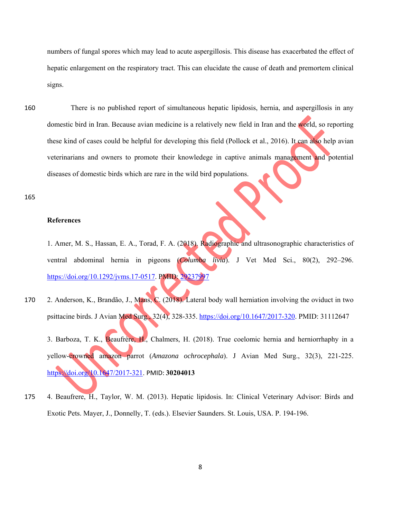numbers of fungal spores which may lead to acute aspergillosis. This disease has exacerbated the effect of hepatic enlargement on the respiratory tract. This can elucidate the cause of death and premortem clinical signs.

160 There is no published report of simultaneous hepatic lipidosis, hernia, and aspergillosis in any domestic bird in Iran. Because avian medicine is a relatively new field in Iran and the world, so reporting these kind of cases could be helpful for developing this field (Pollock et al., 2016). It can also help avian veterinarians and owners to promote their knowledege in captive animals management and potential diseases of domestic birds which are rare in the wild bird populations.

165

### **References**

1. Amer, M. S., Hassan, E. A., Torad, F. A. (2018). Radiographic and ultrasonographic characteristics of ventral abdominal hernia in pigeons (*Columba livia*). J Vet Med Sci., 80(2), 292–296. https://doi.org/10.1292/jvms.17-0517. PMID: 29237997

170 2. Anderson, K., Brandão, J., Mans, C. (2018). Lateral body wall herniation involving the oviduct in two psittacine birds. J Avian Med Surg., 32(4), 328-335. https://doi.org/10.1647/2017-320. PMID: 31112647

3. Barboza, T. K., Beaufrère, H., Chalmers, H. (2018). True coelomic hernia and herniorrhaphy in a yellow-crowned amazon parrot (*Amazona ochrocephala*). J Avian Med Surg., 32(3), 221-225. https://doi.org/10.1647/2017-321. PMID: **30204013**

175 4. Beaufrere, H., Taylor, W. M. (2013). Hepatic lipidosis. In: Clinical Veterinary Advisor: Birds and Exotic Pets. Mayer, J., Donnelly, T. (eds.). Elsevier Saunders. St. Louis, USA. P. 194-196.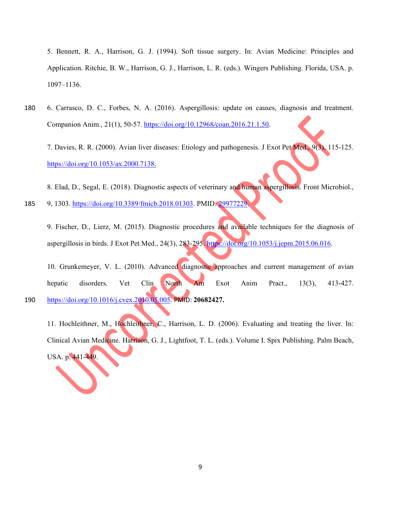5. Bennett, R. A., Harrison, G. J. (1994). Soft tissue surgery. In: Avian Medicine: Principles and Application. Ritchie, B. W., Harrison, G. J., Harrison, L. R. (eds.). Wingers Publishing. Florida, USA. p. 1097–1136.

180 6. Carrasco, D. C., Forbes, N. A. (2016). Aspergillosis: update on causes, diagnosis and treatment. Companion Anim., 21(1), 50-57. https://doi.org/10.12968*/*coan*.*2016.21.1.50*.* 

7. Davies, R. R. (2000). Avian liver diseases: Etiology and pathogenesis. J Exot Pet Med., 9(3), 115-125. https://doi.org/10.1053/ax.2000.7138.

8. Elad, D., Segal, E. (2018). Diagnostic aspects of veterinary and human aspergillosis. Front Microbiol.,

185 9, 1303. https://doi.org/10.3389/fmicb.2018.01303. PMID: 29977229.

9. Fischer, D., Lierz, M. (2015). Diagnostic procedures and available techniques for the diagnosis of aspergillosis in birds. J Exot Pet Med., 24(3), 283-295. https://doi.org/10.1053/j.jepm.2015.06.016.

10. Grunkemeyer, V. L. (2010). Advanced diagnostic approaches and current management of avian hepatic disorders. Vet Clin North Am Exot Anim Pract., 13(3), 413-427. 190 https://doi.org/10.1016/j.cvex.2010.05.005. PMID: **20682427.** 

11. Hochleithner, M., Hochleithner, C., Harrison, L. D. (2006). Evaluating and treating the liver. In: Clinical Avian Medicine. Harrison, G. J., Lightfoot, T. L. (eds.). Volume I. Spix Publishing. Palm Beach, USA. p. 441-449.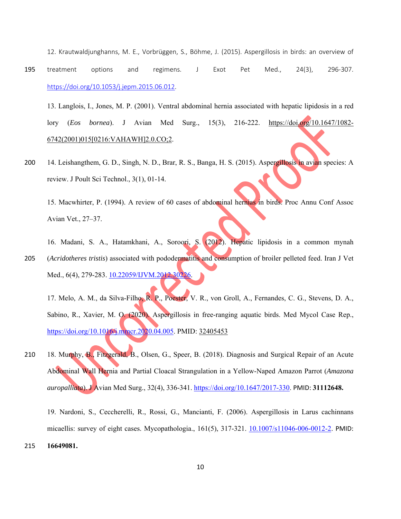12. Krautwaldjunghanns, M. E., Vorbrüggen, S., Böhme, J. (2015). Aspergillosis in birds: an overview of 195 treatment options and regimens. J Exot Pet Med., 24(3), 296-307. https://doi.org/10.1053/j.jepm.2015.06.012.

13. Langlois, I., Jones, M. P. (2001). Ventral abdominal hernia associated with hepatic lipidosis in a red lory (*Eos bornea*). J Avian Med Surg., 15(3), 216-222. https://doi.org/10.1647/1082- 6742(2001)015[0216:VAHAWH]2.0.CO;2.

200 14. Leishangthem, G. D., Singh, N. D., Brar, R. S., Banga, H. S. (2015). Aspergillosis in avian species: A review. J Poult Sci Technol., 3(1), 01-14.

15. Macwhirter, P. (1994). A review of 60 cases of abdominal hernias in birds. Proc Annu Conf Assoc Avian Vet., 27–37.

16. Madani, S. A., Hatamkhani, A., Soroori, S. (2012). Hepatic lipidosis in a common mynah 205 (*Acridotheres tristis*) associated with pododermatitis and consumption of broiler pelleted feed. Iran J Vet Med., 6(4), 279-283. 10.22059/IJVM.2012.30226.

17. Melo, A. M., da Silva-Filho, R. P., Poester, V. R., von Groll, A., Fernandes, C. G., Stevens, D. A., Sabino, R., Xavier, M. O. (2020). Aspergillosis in free-ranging aquatic birds. Med Mycol Case Rep., https://doi.org/10.1016/j.mmcr.2020.04.005. PMID: 32405453

210 18. Murphy, B., Fitzgerald, B., Olsen, G., Speer, B. (2018). Diagnosis and Surgical Repair of an Acute Abdominal Wall Hernia and Partial Cloacal Strangulation in a Yellow-Naped Amazon Parrot (*Amazona auropalliata*). J Avian Med Surg., 32(4), 336-341. https://doi.org/10.1647/2017-330. PMID: **31112648.**

19. Nardoni, S., Ceccherelli, R., Rossi, G., Mancianti, F. (2006). Aspergillosis in Larus cachinnans micaellis: survey of eight cases. Mycopathologia., 161(5), 317-321. 10.1007/s11046-006-0012-2. PMID: 215 **16649081.**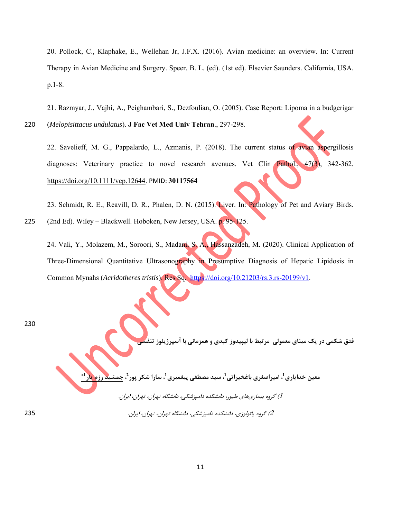20. Pollock, C., Klaphake, E., Wellehan Jr, J.F.X. (2016). Avian medicine: an overview. In: Current Therapy in Avian Medicine and Surgery. Speer, B. L. (ed). (1st ed). Elsevier Saunders. California, USA. p.1-8.

21. Razmyar, J., Vajhi, A., Peighambari, S., Dezfoulian, O. (2005). Case Report: Lipoma in a budgerigar

220 (*Melopisittacus undulatus*). **J Fac Vet Med Univ Tehran**., 297-298.

22. Savelieff, M. G., Pappalardo, L., Azmanis, P. (2018). The current status of avian aspergillosis diagnoses: Veterinary practice to novel research avenues. Vet Clin Pathol., 47(3), 342-362. https://doi.org/10.1111/vcp.12644. PMID: **30117564**

23. Schmidt, R. E., Reavill, D. R., Phalen, D. N. (2015). Liver. In: Pathology of Pet and Aviary Birds.

225 (2nd Ed). Wiley – Blackwell. Hoboken, New Jersey, USA. p. 95-125.

24. Vali, Y., Molazem, M., Soroori, S., Madani, S. A., Hassanzadeh, M. (2020). Clinical Application of Three-Dimensional Quantitative Ultrasonography in Presumptive Diagnosis of Hepatic Lipidosis in Common Mynahs (*Acridotheres tristis*). Res Sq. https://doi.org/10.21203/rs.3.rs-20199/v1.

230

**فتق شكمي در يك ميناي معمولي مرتبط با ليپيدوز كبدي و همزماني با آسپرژيلوز تنفسي**

معین خدایاری <sup>1</sup>، امیراصغری باغخیراتی <sup>1</sup>، سید مصطفی پیغمبری <sup>1</sup>، سارا شکر پور <sup>2</sup>، جمشید رزم یار **1\***

1) گروه بيماريهاي طيور، دانشكده دامپزشكي، دانشگاه تهران، تهران، ايران.

<sup>2</sup>) گروه پاتولوژي، دانشكده دامپزشكي، دانشگاه تهران، تهران، ايران. 235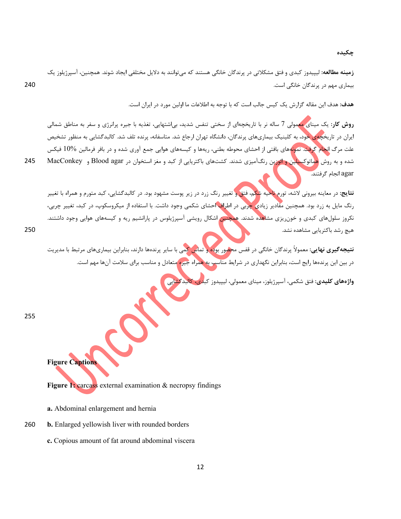**چكيده** 

**زمينه مطالعه:** ليپيدوز كبدي و فتق مشكلاتي در پرندگان خانگي هستند كه ميتوانند به دلايل مختلفي ايجاد شوند. همچنين، آسپرژيلوز يك بيماري مهم در پرندگان خانگي است. 240

**هدف:** هدف اين مقاله گزارش يك كيس جالب است كه با توجه به اطلاعات ما اولين مورد در ايران است.

**روش كار:** يك ميناي معمولي 7 ساله نر با تاريخچهاي از سختي تنفس شديد، بياشتهايي، تغذيه با جيره پرانرژي و سفر به مناطق شمالي ايران در تاريخچهي خود، به كلينيك بيماريهاي پرندگان، دانشگاه تهران ارجاع شد. متاسفانه، پرنده تلف شد. كالبدگشايي به منظور تشخيص علت مرگ انجام گرفت. نمونههاي بافتي از احشاي محوطه بطني، ريهها و كيسههاي هوايي جمع آوري شده و در بافر فرمالين 10% فيكس شده و به روش <mark>هم</mark>اتوكس**يلين و ائوزي**ن رنگآميزي شدند. كشتهاي باكتريايي از كبد و مغز استخوان در Blood agar و MacConkey 245 agar انجام گرفتند.

**نتايج:** در معاينه بيروني لاشه، تورم ناحيه شكم، فتق و تغيير رنگ زرد در زير پوست مشهود بود. در كالبدگشايي، كبد متورم و همراه با تغيير رنگ مايل به زرد بود. همچنين مقادير زيادي چربي در اطراف احشاي شكمي وجود داشت. با استفاده از ميكروسكوپ، در كبد، تغيير چربي، نكروز سلولهای كبدی و خونريزی مشاهده شدند. همچنين اشكال رويشي آسپرژيلوس در پارانشيم ريه و كيسههای هوايي وجود داشتند. هيچ رشد باكتريايي مشاهده نشد. 250

**نتيجهگيري نهايي:** معمولاً پرندگان خانگي در قفس محصور بوده و تماس كمي با ساير پرندهها دارند، بنابراين بيماريهاي مرتبط با مديريت در بين اين پرندهها رايج است، بنابراين نگهداري در شرايط مناسب به همراه جيره متعادل و مناسب براي سلامت آنها مهم است.

**واژههاي كليدي:** فتق شكمي، آسپرژيلوز، ميناي معمولي، ليپيدوز كبدي، كالبدگشايي

255

**Figure Captions** 

Figure 1: carcass external examination & necropsy findings

- **a.** Abdominal enlargement and hernia
- 260 **b.** Enlarged yellowish liver with rounded borders
	- **c.** Copious amount of fat around abdominal viscera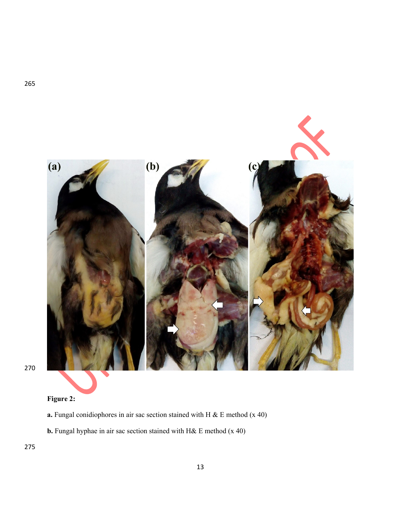

265

# **Figure 2:**

- **a.** Fungal conidiophores in air sac section stained with H & E method (x 40)
- **b.** Fungal hyphae in air sac section stained with H& E method (x 40)

275